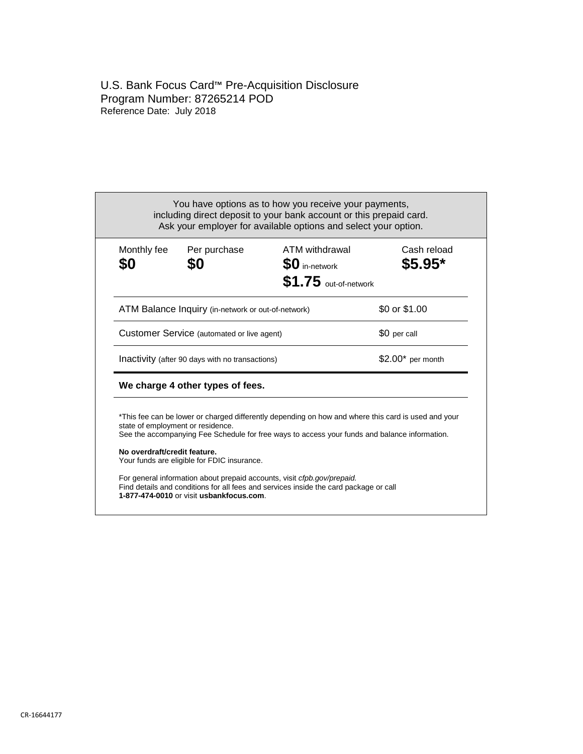# U.S. Bank Focus Card™ Pre-Acquisition Disclosure Program Number: 87265214 POD Reference Date: July 2018

| Monthly fee<br>\$0                              | Per purchase<br>\$0                                | ATM withdrawal<br><b>SO</b> in-network<br>$$1.75$ out-of-network                                                                                                                                     | Cash reload<br>\$5.95* |  |
|-------------------------------------------------|----------------------------------------------------|------------------------------------------------------------------------------------------------------------------------------------------------------------------------------------------------------|------------------------|--|
|                                                 | ATM Balance Inquiry (in-network or out-of-network) |                                                                                                                                                                                                      | \$0 or \$1.00          |  |
| Customer Service (automated or live agent)      |                                                    |                                                                                                                                                                                                      | \$0 per call           |  |
| Inactivity (after 90 days with no transactions) |                                                    |                                                                                                                                                                                                      | $$2.00*$ per month     |  |
|                                                 | We charge 4 other types of fees.                   |                                                                                                                                                                                                      |                        |  |
|                                                 | state of employment or residence.                  | *This fee can be lower or charged differently depending on how and where this card is used and your<br>See the accompanying Fee Schedule for free ways to access your funds and balance information. |                        |  |
| No overdraft/credit feature.                    | Your funds are eligible for FDIC insurance.        |                                                                                                                                                                                                      |                        |  |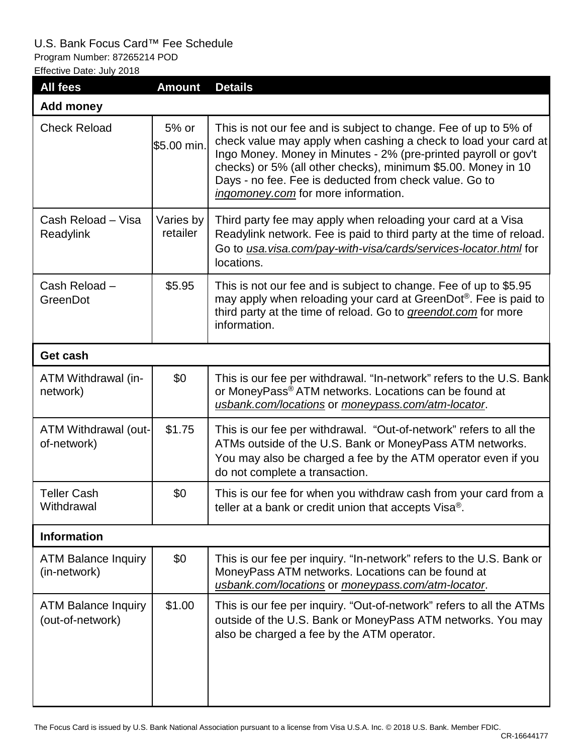# U.S. Bank Focus Card™ Fee Schedule

Program Number: 87265214 POD

Effective Date: July 2018

| <b>All fees</b>                                | <b>Amount</b>         | <b>Details</b>                                                                                                                                                                                                                                                                                                                                                           |  |  |
|------------------------------------------------|-----------------------|--------------------------------------------------------------------------------------------------------------------------------------------------------------------------------------------------------------------------------------------------------------------------------------------------------------------------------------------------------------------------|--|--|
| <b>Add money</b>                               |                       |                                                                                                                                                                                                                                                                                                                                                                          |  |  |
| <b>Check Reload</b>                            | 5% or<br>\$5.00 min.  | This is not our fee and is subject to change. Fee of up to 5% of<br>check value may apply when cashing a check to load your card at<br>Ingo Money. Money in Minutes - 2% (pre-printed payroll or gov't<br>checks) or 5% (all other checks), minimum \$5.00. Money in 10<br>Days - no fee. Fee is deducted from check value. Go to<br>ingomoney.com for more information. |  |  |
| Cash Reload - Visa<br>Readylink                | Varies by<br>retailer | Third party fee may apply when reloading your card at a Visa<br>Readylink network. Fee is paid to third party at the time of reload.<br>Go to usa.visa.com/pay-with-visa/cards/services-locator.html for<br>locations.                                                                                                                                                   |  |  |
| Cash Reload -<br>GreenDot                      | \$5.95                | This is not our fee and is subject to change. Fee of up to \$5.95<br>may apply when reloading your card at GreenDot <sup>®</sup> . Fee is paid to<br>third party at the time of reload. Go to greendot.com for more<br>information.                                                                                                                                      |  |  |
| Get cash                                       |                       |                                                                                                                                                                                                                                                                                                                                                                          |  |  |
| ATM Withdrawal (in-<br>network)                | \$0                   | This is our fee per withdrawal. "In-network" refers to the U.S. Bank<br>or MoneyPass <sup>®</sup> ATM networks. Locations can be found at<br>usbank.com/locations or moneypass.com/atm-locator.                                                                                                                                                                          |  |  |
| ATM Withdrawal (out-<br>of-network)            | \$1.75                | This is our fee per withdrawal. "Out-of-network" refers to all the<br>ATMs outside of the U.S. Bank or MoneyPass ATM networks.<br>You may also be charged a fee by the ATM operator even if you<br>do not complete a transaction.                                                                                                                                        |  |  |
| <b>Teller Cash</b><br>Withdrawal               | \$0                   | This is our fee for when you withdraw cash from your card from a<br>teller at a bank or credit union that accepts Visa®.                                                                                                                                                                                                                                                 |  |  |
| <b>Information</b>                             |                       |                                                                                                                                                                                                                                                                                                                                                                          |  |  |
| <b>ATM Balance Inquiry</b><br>(in-network)     | \$0                   | This is our fee per inquiry. "In-network" refers to the U.S. Bank or<br>MoneyPass ATM networks. Locations can be found at<br>usbank.com/locations or moneypass.com/atm-locator.                                                                                                                                                                                          |  |  |
| <b>ATM Balance Inquiry</b><br>(out-of-network) | \$1.00                | This is our fee per inquiry. "Out-of-network" refers to all the ATMs<br>outside of the U.S. Bank or MoneyPass ATM networks. You may<br>also be charged a fee by the ATM operator.                                                                                                                                                                                        |  |  |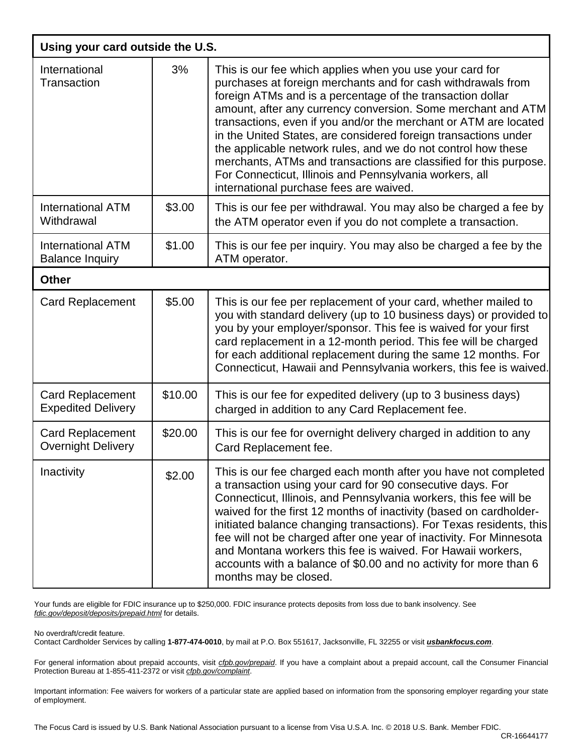| Using your card outside the U.S.                     |         |                                                                                                                                                                                                                                                                                                                                                                                                                                                                                                                                                                                                                                           |  |  |
|------------------------------------------------------|---------|-------------------------------------------------------------------------------------------------------------------------------------------------------------------------------------------------------------------------------------------------------------------------------------------------------------------------------------------------------------------------------------------------------------------------------------------------------------------------------------------------------------------------------------------------------------------------------------------------------------------------------------------|--|--|
| International<br>Transaction                         | 3%      | This is our fee which applies when you use your card for<br>purchases at foreign merchants and for cash withdrawals from<br>foreign ATMs and is a percentage of the transaction dollar<br>amount, after any currency conversion. Some merchant and ATM<br>transactions, even if you and/or the merchant or ATM are located<br>in the United States, are considered foreign transactions under<br>the applicable network rules, and we do not control how these<br>merchants, ATMs and transactions are classified for this purpose.<br>For Connecticut, Illinois and Pennsylvania workers, all<br>international purchase fees are waived. |  |  |
| <b>International ATM</b><br>Withdrawal               | \$3.00  | This is our fee per withdrawal. You may also be charged a fee by<br>the ATM operator even if you do not complete a transaction.                                                                                                                                                                                                                                                                                                                                                                                                                                                                                                           |  |  |
| <b>International ATM</b><br><b>Balance Inquiry</b>   | \$1.00  | This is our fee per inquiry. You may also be charged a fee by the<br>ATM operator.                                                                                                                                                                                                                                                                                                                                                                                                                                                                                                                                                        |  |  |
| <b>Other</b>                                         |         |                                                                                                                                                                                                                                                                                                                                                                                                                                                                                                                                                                                                                                           |  |  |
| <b>Card Replacement</b>                              | \$5.00  | This is our fee per replacement of your card, whether mailed to<br>you with standard delivery (up to 10 business days) or provided to<br>you by your employer/sponsor. This fee is waived for your first<br>card replacement in a 12-month period. This fee will be charged<br>for each additional replacement during the same 12 months. For<br>Connecticut, Hawaii and Pennsylvania workers, this fee is waived.                                                                                                                                                                                                                        |  |  |
| <b>Card Replacement</b><br><b>Expedited Delivery</b> | \$10.00 | This is our fee for expedited delivery (up to 3 business days)<br>charged in addition to any Card Replacement fee.                                                                                                                                                                                                                                                                                                                                                                                                                                                                                                                        |  |  |
| <b>Card Replacement</b><br><b>Overnight Delivery</b> | \$20.00 | This is our fee for overnight delivery charged in addition to any<br>Card Replacement fee.                                                                                                                                                                                                                                                                                                                                                                                                                                                                                                                                                |  |  |
| Inactivity                                           | \$2.00  | This is our fee charged each month after you have not completed<br>a transaction using your card for 90 consecutive days. For<br>Connecticut, Illinois, and Pennsylvania workers, this fee will be<br>waived for the first 12 months of inactivity (based on cardholder-<br>initiated balance changing transactions). For Texas residents, this<br>fee will not be charged after one year of inactivity. For Minnesota<br>and Montana workers this fee is waived. For Hawaii workers,<br>accounts with a balance of \$0.00 and no activity for more than 6<br>months may be closed.                                                       |  |  |

Your funds are eligible for FDIC insurance up to \$250,000. FDIC insurance protects deposits from loss due to bank insolvency. See *[fdic.gov/deposit/deposits/prepaid.html](http://fdic.gov/deposit/deposits/prepaid.html)* for details.

No overdraft/credit feature.

Contact Cardholder Services by calling **1-877-474-0010**, by mail at P.O. Box 551617, Jacksonville, FL 32255 or visit *usbankfocus.com*.

For general information about prepaid accounts, visit *cfpb.gov/prepaid*. If you have a complaint about a prepaid account, call the Consumer Financial Protection Bureau at 1-855-411-2372 or visit *cfpb.gov/complaint*.

Important information: Fee waivers for workers of a particular state are applied based on information from the sponsoring employer regarding your state of employment.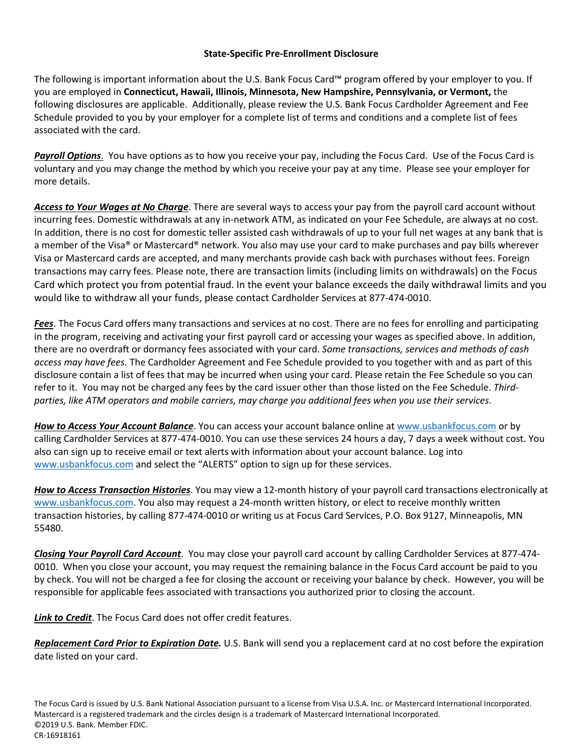## **State-Specific Pre-Enrollment Disclosure**

The following is important information about the U.S. Bank Focus Card™ program offered by your employer to you. If you are employed in **Connecticut, Hawaii, Illinois, Minnesota, New Hampshire, Pennsylvania, or Vermont,** the following disclosures are applicable. Additionally, please review the U.S. Bank Focus Cardholder Agreement and Fee Schedule provided to you by your employer for a complete list of terms and conditions and a complete list of fees associated with the card.

*Payroll Options*. You have options as to how you receive your pay, including the Focus Card. Use of the Focus Card is voluntary and you may change the method by which you receive your pay at any time. Please see your employer for more details.

*Access to Your Wages at No Charge*. There are several ways to access your pay from the payroll card account without incurring fees. Domestic withdrawals at any in-network ATM, as indicated on your Fee Schedule, are always at no cost. In addition, there is no cost for domestic teller assisted cash withdrawals of up to your full net wages at any bank that is a member of the Visa® or Mastercard® network. You also may use your card to make purchases and pay bills wherever Visa or Mastercard cards are accepted, and many merchants provide cash back with purchases without fees. Foreign transactions may carry fees. Please note, there are transaction limits (including limits on withdrawals) on the Focus Card which protect you from potential fraud. In the event your balance exceeds the daily withdrawal limits and you would like to withdraw all your funds, please contact Cardholder Services at 877-474-0010.

*Fees*. The Focus Card offers many transactions and services at no cost. There are no fees for enrolling and participating in the program, receiving and activating your first payroll card or accessing your wages as specified above. In addition, there are no overdraft or dormancy fees associated with your card. *Some transactions, services and methods of cash access may have fees.* The Cardholder Agreement and Fee Schedule provided to you together with and as part of this disclosure contain a list of fees that may be incurred when using your card. Please retain the Fee Schedule so you can refer to it. You may not be charged any fees by the card issuer other than those listed on the Fee Schedule. *Thirdparties, like ATM operators and mobile carriers, may charge you additional fees when you use their services*.

*How to Access Your Account Balance*. You can access your account balance online at [www.usbankfocus.com](http://www.usbankfocus.com/) or by calling Cardholder Services at 877-474-0010. You can use these services 24 hours a day, 7 days a week without cost. You also can sign up to receive email or text alerts with information about your account balance. Log into [www.usbankfocus.com](http://www.usbankfocus.com/) and select the "ALERTS" option to sign up for these services.

*How to Access Transaction Histories*. You may view a 12-month history of your payroll card transactions electronically at [www.usbankfocus.com.](http://www.usbankfocus.com/) You also may request a 24-month written history, or elect to receive monthly written transaction histories, by calling 877-474-0010 or writing us at Focus Card Services, P.O. Box 9127, Minneapolis, MN 55480.

*Closing Your Payroll Card Account*.You may close your payroll card account by calling Cardholder Services at 877-474- 0010. When you close your account, you may request the remaining balance in the Focus Card account be paid to you by check. You will not be charged a fee for closing the account or receiving your balance by check. However, you will be responsible for applicable fees associated with transactions you authorized prior to closing the account.

*Link to Credit*. The Focus Card does not offer credit features.

*Replacement Card Prior to Expiration Date.* U.S. Bank will send you a replacement card at no cost before the expiration date listed on your card.

The Focus Card is issued by U.S. Bank National Association pursuant to a license from Visa U.S.A. Inc. or Mastercard International Incorporated. Mastercard is a registered trademark and the circles design is a trademark of Mastercard International Incorporated. ©2019 U.S. Bank. Member FDIC. CR-16918161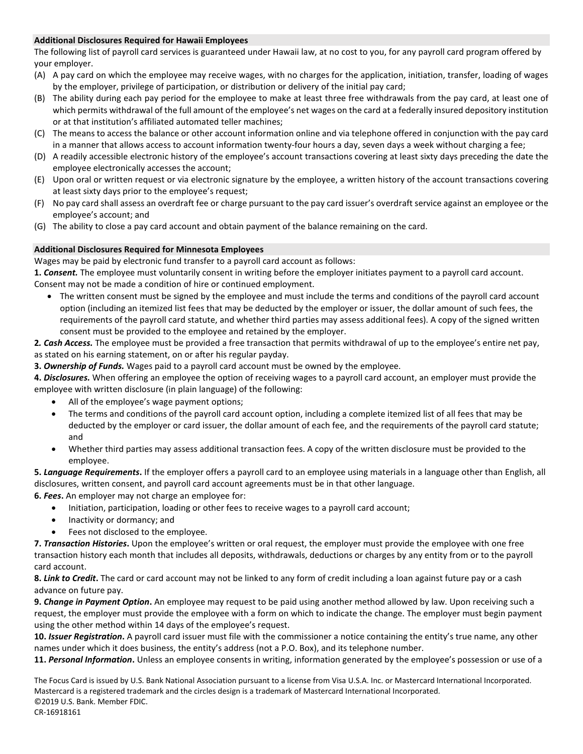#### **Additional Disclosures Required for Hawaii Employees**

The following list of payroll card services is guaranteed under Hawaii law, at no cost to you, for any payroll card program offered by your employer.

- (A) A pay card on which the employee may receive wages, with no charges for the application, initiation, transfer, loading of wages by the employer, privilege of participation, or distribution or delivery of the initial pay card;
- (B) The ability during each pay period for the employee to make at least three free withdrawals from the pay card, at least one of which permits withdrawal of the full amount of the employee's net wages on the card at a federally insured depository institution or at that institution's affiliated automated teller machines;
- (C) The means to access the balance or other account information online and via telephone offered in conjunction with the pay card in a manner that allows access to account information twenty-four hours a day, seven days a week without charging a fee;
- (D) A readily accessible electronic history of the employee's account transactions covering at least sixty days preceding the date the employee electronically accesses the account;
- (E) Upon oral or written request or via electronic signature by the employee, a written history of the account transactions covering at least sixty days prior to the employee's request;
- (F) No pay card shall assess an overdraft fee or charge pursuant to the pay card issuer's overdraft service against an employee or the employee's account; and
- (G) The ability to close a pay card account and obtain payment of the balance remaining on the card.

### **Additional Disclosures Required for Minnesota Employees**

Wages may be paid by electronic fund transfer to a payroll card account as follows:

**1.** *Consent.* The employee must voluntarily consent in writing before the employer initiates payment to a payroll card account. Consent may not be made a condition of hire or continued employment.

- The written consent must be signed by the employee and must include the terms and conditions of the payroll card account option (including an itemized list fees that may be deducted by the employer or issuer, the dollar amount of such fees, the requirements of the payroll card statute, and whether third parties may assess additional fees). A copy of the signed written consent must be provided to the employee and retained by the employer.
- **2***. Cash Access.* The employee must be provided a free transaction that permits withdrawal of up to the employee's entire net pay, as stated on his earning statement, on or after his regular payday.

**3.** *Ownership of Funds.* Wages paid to a payroll card account must be owned by the employee.

**4.** *Disclosures.* When offering an employee the option of receiving wages to a payroll card account, an employer must provide the employee with written disclosure (in plain language) of the following:

- All of the employee's wage payment options;
- The terms and conditions of the payroll card account option, including a complete itemized list of all fees that may be deducted by the employer or card issuer, the dollar amount of each fee, and the requirements of the payroll card statute; and
- Whether third parties may assess additional transaction fees. A copy of the written disclosure must be provided to the employee.

**5.** *Language Requirements***.** If the employer offers a payroll card to an employee using materials in a language other than English, all disclosures, written consent, and payroll card account agreements must be in that other language.

**6.** *Fees***.** An employer may not charge an employee for:

- Initiation, participation, loading or other fees to receive wages to a payroll card account;
- Inactivity or dormancy; and
- Fees not disclosed to the employee.

**7.** *Transaction Histories***.** Upon the employee's written or oral request, the employer must provide the employee with one free transaction history each month that includes all deposits, withdrawals, deductions or charges by any entity from or to the payroll card account.

**8.** *Link to Credit***.** The card or card account may not be linked to any form of credit including a loan against future pay or a cash advance on future pay.

**9.** *Change in Payment Option***.** An employee may request to be paid using another method allowed by law. Upon receiving such a request, the employer must provide the employee with a form on which to indicate the change. The employer must begin payment using the other method within 14 days of the employee's request.

**10.** *Issuer Registration***.** A payroll card issuer must file with the commissioner a notice containing the entity's true name, any other names under which it does business, the entity's address (not a P.O. Box), and its telephone number.

**11.** *Personal Information***.** Unless an employee consents in writing, information generated by the employee's possession or use of a

The Focus Card is issued by U.S. Bank National Association pursuant to a license from Visa U.S.A. Inc. or Mastercard International Incorporated. Mastercard is a registered trademark and the circles design is a trademark of Mastercard International Incorporated. ©2019 U.S. Bank. Member FDIC.

CR-16918161